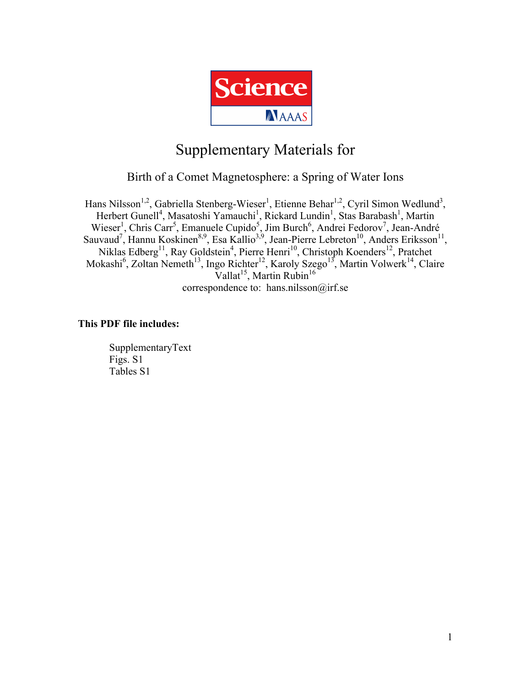

# Supplementary Materials for

Birth of a Comet Magnetosphere: a Spring of Water Ions

Hans Nilsson<sup>1,2</sup>, Gabriella Stenberg-Wieser<sup>1</sup>, Etienne Behar<sup>1,2</sup>, Cyril Simon Wedlund<sup>3</sup>, Herbert Gunell<sup>4</sup>, Masatoshi Yamauchi<sup>1</sup>, Rickard Lundin<sup>1</sup>, Stas Barabash<sup>1</sup>, Martin Wieser<sup>1</sup>, Chris Carr<sup>5</sup>, Emanuele Cupido<sup>5</sup>, Jim Burch<sup>6</sup>, Andrei Fedorov<sup>7</sup>, Jean-André Sauvaud<sup>7</sup>, Hannu Koskinen<sup>8,9</sup>, Esa Kallio<sup>3,9</sup>, Jean-Pierre Lebreton<sup>10</sup>, Anders Eriksson<sup>11</sup>, Niklas Edberg<sup>11</sup>, Ray Goldstein<sup>4</sup>, Pierre Henri<sup>10</sup>, Christoph Koenders<sup>12</sup>, Pratchet Mokashi<sup>6</sup>, Zoltan Nemeth<sup>13</sup>, Ingo Richter<sup>12</sup>, Karoly Szego<sup>13</sup>, Martin Volwerk<sup>14</sup>, Claire Vallat<sup>15</sup>, Martin Rubin<sup>16</sup> correspondence to: hans.nilsson@irf.se

### **This PDF file includes:**

SupplementaryText Figs. S1 Tables S1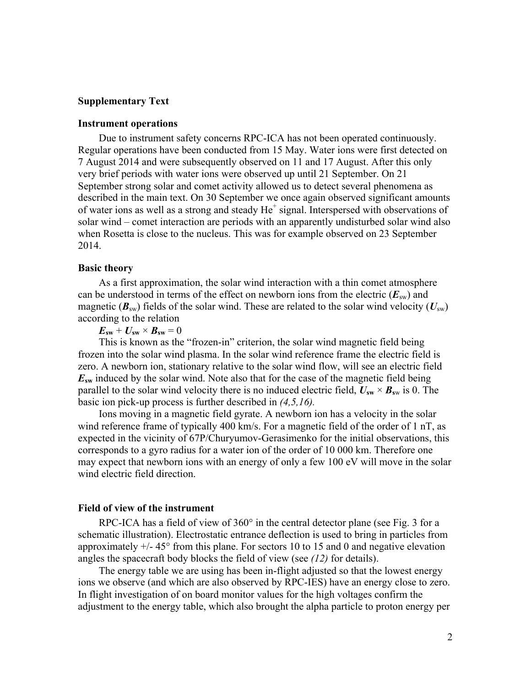#### **Supplementary Text**

#### **Instrument operations**

Due to instrument safety concerns RPC-ICA has not been operated continuously. Regular operations have been conducted from 15 May. Water ions were first detected on 7 August 2014 and were subsequently observed on 11 and 17 August. After this only very brief periods with water ions were observed up until 21 September. On 21 September strong solar and comet activity allowed us to detect several phenomena as described in the main text. On 30 September we once again observed significant amounts of water ions as well as a strong and steady  $He^+$  signal. Interspersed with observations of solar wind – comet interaction are periods with an apparently undisturbed solar wind also when Rosetta is close to the nucleus. This was for example observed on 23 September 2014.

#### **Basic theory**

As a first approximation, the solar wind interaction with a thin comet atmosphere can be understood in terms of the effect on newborn ions from the electric  $(E_{sw})$  and magnetic ( $\mathbf{B}_{sw}$ ) fields of the solar wind. These are related to the solar wind velocity ( $U_{sw}$ ) according to the relation

 $E_{sw} + U_{sw} \times B_{sw} = 0$ 

This is known as the "frozen-in" criterion, the solar wind magnetic field being frozen into the solar wind plasma. In the solar wind reference frame the electric field is zero. A newborn ion, stationary relative to the solar wind flow, will see an electric field *E***sw** induced by the solar wind. Note also that for the case of the magnetic field being parallel to the solar wind velocity there is no induced electric field,  $U_{sw} \times B_{sw}$  is 0. The basic ion pick-up process is further described in *(4,5,16).*

Ions moving in a magnetic field gyrate. A newborn ion has a velocity in the solar wind reference frame of typically 400 km/s. For a magnetic field of the order of 1 nT, as expected in the vicinity of 67P/Churyumov-Gerasimenko for the initial observations, this corresponds to a gyro radius for a water ion of the order of 10 000 km. Therefore one may expect that newborn ions with an energy of only a few 100 eV will move in the solar wind electric field direction.

#### **Field of view of the instrument**

RPC-ICA has a field of view of 360° in the central detector plane (see Fig. 3 for a schematic illustration). Electrostatic entrance deflection is used to bring in particles from approximately  $+/- 45^{\circ}$  from this plane. For sectors 10 to 15 and 0 and negative elevation angles the spacecraft body blocks the field of view (see *(12)* for details).

The energy table we are using has been in-flight adjusted so that the lowest energy ions we observe (and which are also observed by RPC-IES) have an energy close to zero. In flight investigation of on board monitor values for the high voltages confirm the adjustment to the energy table, which also brought the alpha particle to proton energy per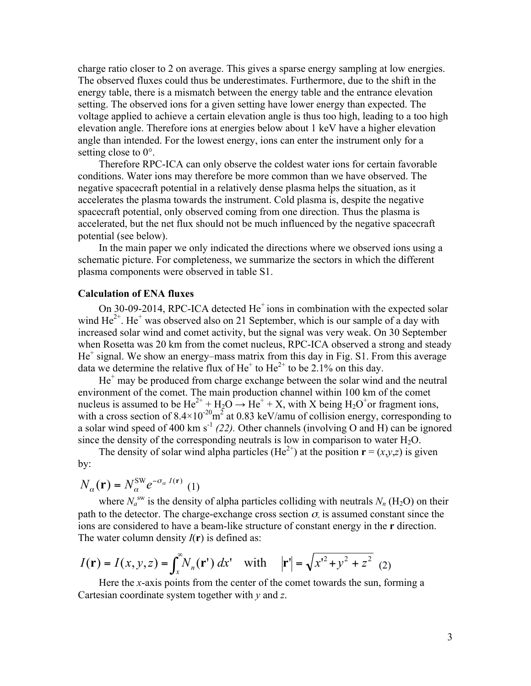charge ratio closer to 2 on average. This gives a sparse energy sampling at low energies. The observed fluxes could thus be underestimates. Furthermore, due to the shift in the energy table, there is a mismatch between the energy table and the entrance elevation setting. The observed ions for a given setting have lower energy than expected. The voltage applied to achieve a certain elevation angle is thus too high, leading to a too high elevation angle. Therefore ions at energies below about 1 keV have a higher elevation angle than intended. For the lowest energy, ions can enter the instrument only for a setting close to  $0^\circ$ .

Therefore RPC-ICA can only observe the coldest water ions for certain favorable conditions. Water ions may therefore be more common than we have observed. The negative spacecraft potential in a relatively dense plasma helps the situation, as it accelerates the plasma towards the instrument. Cold plasma is, despite the negative spacecraft potential, only observed coming from one direction. Thus the plasma is accelerated, but the net flux should not be much influenced by the negative spacecraft potential (see below).

In the main paper we only indicated the directions where we observed ions using a schematic picture. For completeness, we summarize the sectors in which the different plasma components were observed in table S1.

#### **Calculation of ENA fluxes**

On 30-09-2014, RPC-ICA detected  $He<sup>+</sup>$  ions in combination with the expected solar wind  $He^{2+}$ . He<sup>+</sup> was observed also on 21 September, which is our sample of a day with increased solar wind and comet activity, but the signal was very weak. On 30 September when Rosetta was 20 km from the comet nucleus, RPC-ICA observed a strong and steady  $He<sup>+</sup>$  signal. We show an energy–mass matrix from this day in Fig. S1. From this average data we determine the relative flux of  $He<sup>+</sup>$  to  $He<sup>2+</sup>$  to be 2.1% on this day.

 $He<sup>+</sup>$  may be produced from charge exchange between the solar wind and the neutral environment of the comet. The main production channel within 100 km of the comet nucleus is assumed to be  $He^{2+} + H_2O \rightarrow He^{+} + X$ , with X being  $H_2O^{+}$ or fragment ions, with a cross section of  $8.4 \times 10^{-20}$  m<sup>2</sup> at 0.83 keV/amu of collision energy, corresponding to a solar wind speed of 400 km s<sup>-1</sup>  $(22)$ . Other channels (involving O and H) can be ignored since the density of the corresponding neutrals is low in comparison to water  $H_2O$ .

The density of solar wind alpha particles (He<sup>2+</sup>) at the position  $\mathbf{r} = (x, y, z)$  is given by:

$$
N_{\alpha}(\mathbf{r}) = N_{\alpha}^{\text{SW}} e^{-\sigma_{\alpha} I(\mathbf{r})} \tag{1}
$$

where  $N_a^{\text{sw}}$  is the density of alpha particles colliding with neutrals  $N_n(\text{H}_2\text{O})$  on their path to the detector. The charge-exchange cross section  $\sigma_{\alpha}$  is assumed constant since the ions are considered to have a beam-like structure of constant energy in the **r** direction. The water column density  $I(r)$  is defined as:

$$
I(\mathbf{r}) = I(x, y, z) = \int_x^{\infty} N_n(\mathbf{r}') dx' \quad \text{with} \quad |\mathbf{r}'| = \sqrt{x'^2 + y^2 + z^2} \tag{2}
$$

Here the *x*-axis points from the center of the comet towards the sun, forming a Cartesian coordinate system together with *y* and *z*.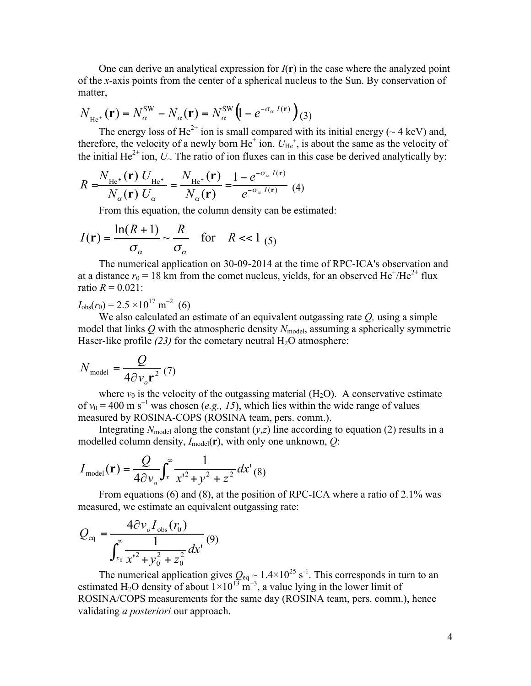One can derive an analytical expression for  $I(\mathbf{r})$  in the case where the analyzed point of the *x*-axis points from the center of a spherical nucleus to the Sun. By conservation of matter,

$$
N_{\text{He}^+}(\mathbf{r}) = N_{\alpha}^{\text{SW}} - N_{\alpha}(\mathbf{r}) = N_{\alpha}^{\text{SW}} \left( 1 - e^{-\sigma_{\alpha} I(\mathbf{r})} \right) (3)
$$

The energy loss of He<sup>2+</sup> ion is small compared with its initial energy ( $\sim$  4 keV) and, therefore, the velocity of a newly born  $He^+$  ion,  $U_{He^+}$ , is about the same as the velocity of the initial He<sup>2+</sup> ion,  $U_a$ . The ratio of ion fluxes can in this case be derived analytically by:

$$
R = \frac{N_{\text{He}^+}(\mathbf{r}) \ U_{\text{He}^+}}{N_{\alpha}(\mathbf{r}) \ U_{\alpha}} = \frac{N_{\text{He}^+}(\mathbf{r})}{N_{\alpha}(\mathbf{r})} = \frac{1 - e^{-\sigma_{\alpha} I(\mathbf{r})}}{e^{-\sigma_{\alpha} I(\mathbf{r})}} \tag{4}
$$

From this equation, the column density can be estimated:

$$
I(\mathbf{r}) = \frac{\ln(R+1)}{\sigma_{\alpha}} \sim \frac{R}{\sigma_{\alpha}} \quad \text{for} \quad R < 1 \tag{5}
$$

The numerical application on 30-09-2014 at the time of RPC-ICA's observation and at a distance  $r_0 = 18$  km from the comet nucleus, yields, for an observed He<sup>+</sup>/He<sup>2+</sup> flux ratio  $R = 0.021$ :

 $I_{\text{obs}}(r_0) = 2.5 \times 10^{17} \text{ m}^{-2}$  (6)

We also calculated an estimate of an equivalent outgassing rate *Q,* using a simple model that links  $Q$  with the atmospheric density  $N_{\text{model}}$ , assuming a spherically symmetric Haser-like profile  $(23)$  for the cometary neutral  $H_2O$  atmosphere:

$$
N_{\text{model}} = \frac{Q}{4\partial v_o \mathbf{r}^2} (7)
$$

where  $v_0$  is the velocity of the outgassing material (H<sub>2</sub>O). A conservative estimate of  $v_0 = 400$  m s<sup>-1</sup> was chosen (*e.g., 15*), which lies within the wide range of values measured by ROSINA-COPS (ROSINA team, pers. comm.).

Integrating  $N_{\text{model}}$  along the constant  $(y, z)$  line according to equation (2) results in a modelled column density,  $I_{model}(r)$ , with only one unknown,  $Q$ :

$$
I_{\text{model}}(\mathbf{r}) = \frac{Q}{4\partial v_o} \int_x^{\infty} \frac{1}{x'^2 + y^2 + z^2} dx'(8)
$$

From equations (6) and (8), at the position of RPC-ICA where a ratio of 2.1% was measured, we estimate an equivalent outgassing rate:

$$
Q_{\text{eq}} = \frac{4\partial v_o I_{\text{obs}}(r_0)}{\int_{x_0}^{\infty} \frac{1}{x'^2 + y_0^2 + z_0^2} dx'}(9)
$$

The numerical application gives  $Q_{eq} \sim 1.4 \times 10^{25}$  s<sup>-1</sup>. This corresponds in turn to an estimated H<sub>2</sub>O density of about  $1 \times 10^{13}$  m<sup>-3</sup>, a value lying in the lower limit of ROSINA/COPS measurements for the same day (ROSINA team, pers. comm.), hence validating *a posteriori* our approach.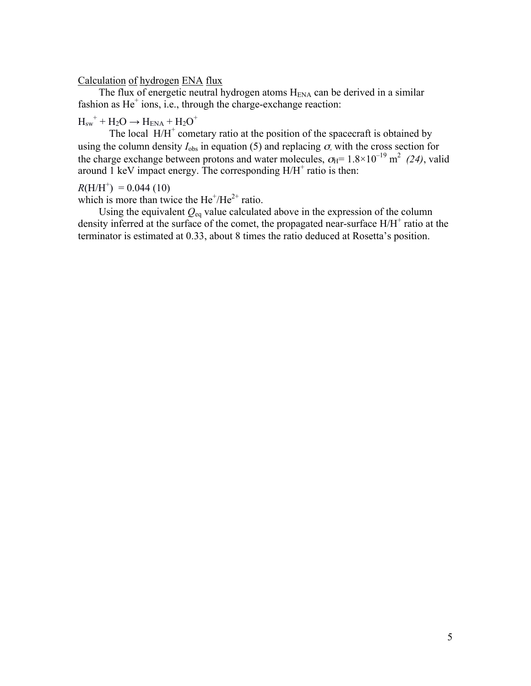#### Calculation of hydrogen ENA flux

The flux of energetic neutral hydrogen atoms  $H<sub>ENA</sub>$  can be derived in a similar fashion as  $He<sup>+</sup>$  ions, i.e., through the charge-exchange reaction:

# $H<sub>sw</sub><sup>+</sup> + H<sub>2</sub>O \rightarrow H<sub>ENA</sub> + H<sub>2</sub>O<sup>+</sup>$

The local  $H/H^+$  cometary ratio at the position of the spacecraft is obtained by using the column density  $I_{obs}$  in equation (5) and replacing  $\sigma_{\alpha}$  with the cross section for the charge exchange between protons and water molecules,  $\sigma_{\text{H}} = 1.8 \times 10^{-19} \text{ m}^2$  (24), valid around 1 keV impact energy. The corresponding  $H/H^+$  ratio is then:

 $R(H/H^{+}) = 0.044(10)$ 

which is more than twice the  $He^+/He^{2+}$  ratio.

Using the equivalent  $Q_{eq}$  value calculated above in the expression of the column density inferred at the surface of the comet, the propagated near-surface  $H/H^+$  ratio at the terminator is estimated at 0.33, about 8 times the ratio deduced at Rosetta's position.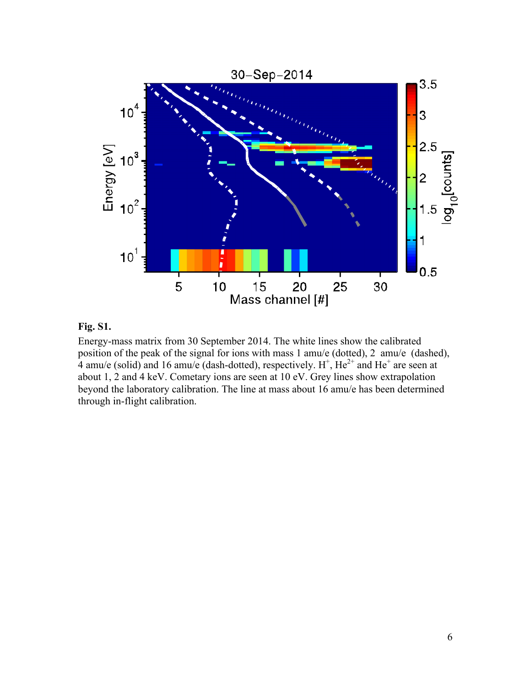

### **Fig. S1.**

Energy-mass matrix from 30 September 2014. The white lines show the calibrated position of the peak of the signal for ions with mass 1 amu/e (dotted), 2 amu/e (dashed), 4 amu/e (solid) and 16 amu/e (dash-dotted), respectively.  $H^+$ ,  $He^{2+}$  and  $He^+$  are seen at about 1, 2 and 4 keV. Cometary ions are seen at 10 eV. Grey lines show extrapolation beyond the laboratory calibration. The line at mass about 16 amu/e has been determined through in-flight calibration.